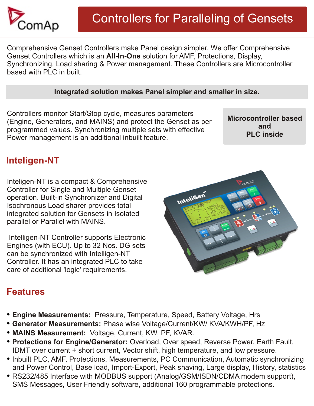

Comprehensive Genset Controllers make Panel design simpler. We offer Comprehensive Genset Controllers which is an **All-In-One** solution for AMF, Protections, Display, Synchronizing, Load sharing & Power management. These Controllers are Microcontroller based with PLC in built.

## **Integrated solution makes Panel simpler and smaller in size.**

Controllers monitor Start/Stop cycle, measures parameters (Engine, Generators, and MAINS) and protect the Genset as per programmed values. Synchronizing multiple sets with effective Power management is an additional inbuilt feature.

**Microcontroller based and PLC inside**

## **Inteligen-NT**

Inteligen-NT is a compact & Comprehensive Controller for Single and Multiple Genset operation. Built-in Synchronizer and Digital Isochronous Load sharer provides total integrated solution for Gensets in Isolated parallel or Parallel with MAINS.

 Intelligen-NT Controller supports Electronic Engines (with ECU). Up to 32 Nos. DG sets can be synchronized with Intelligen-NT Controller. It has an integrated PLC to take care of additional 'logic' requirements.



## **Features**

- **Engine Measurements:** Pressure, Temperature, Speed, Battery Voltage, Hrs
- **Generator Measurements:** Phase wise Voltage/Current/KW/ KVA/KWH/PF, Hz
- **MAINS Measurement:** Voltage, Current, KW, PF, KVAR.
- **Protections for Engine/Generator:** Overload, Over speed, Reverse Power, Earth Fault, IDMT over current + short current, Vector shift, high temperature, and low pressure.
- Inbuilt PLC, AMF, Protections, Measurements, PC Communication, Automatic synchronizing and Power Control, Base load, Import-Export, Peak shaving, Large display, History, statistics
- RS232/485 Interface with MODBUS support (Analog/GSM/ISDN/CDMA modem support), SMS Messages, User Friendly software, additional 160 programmable protections.